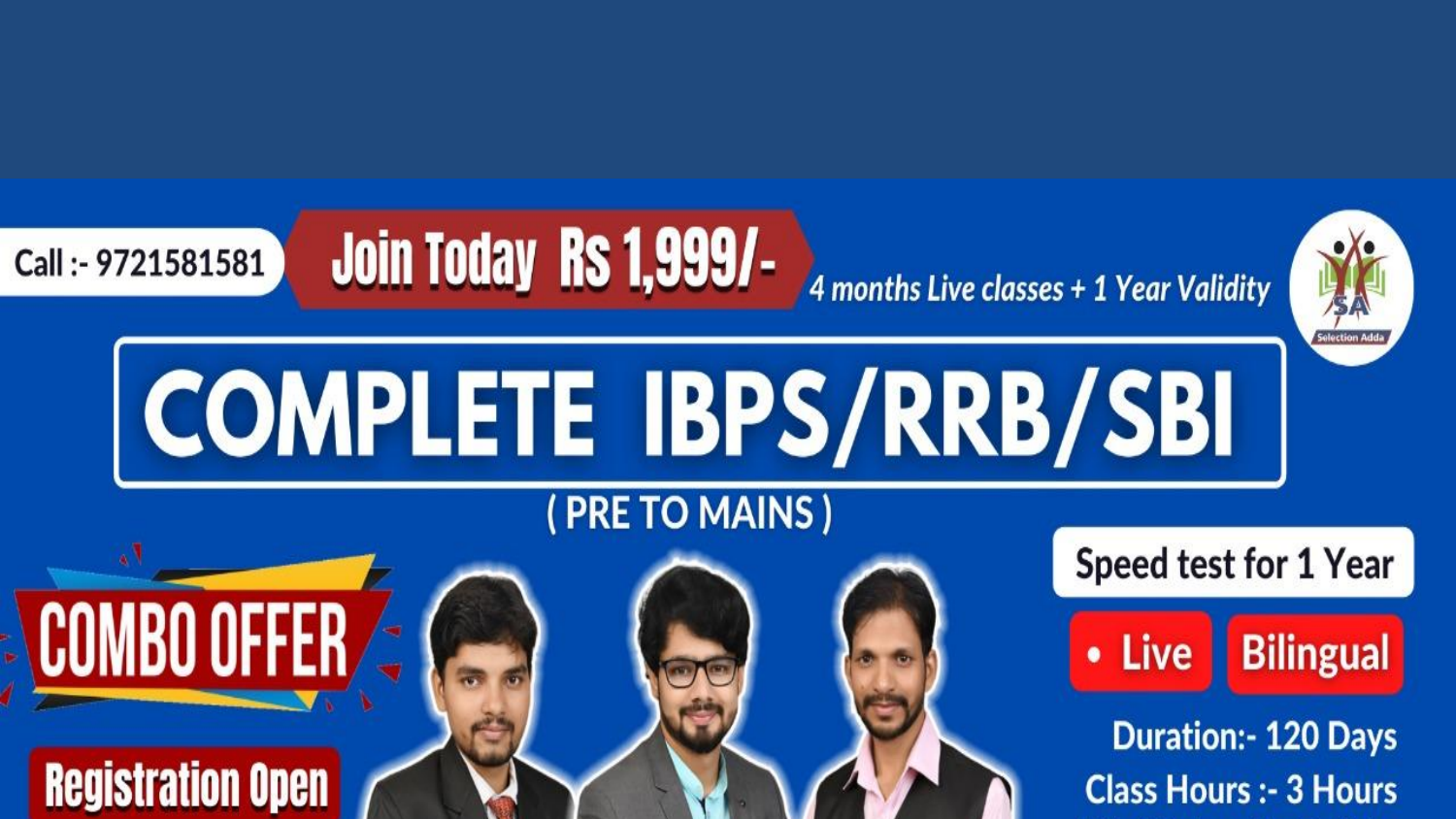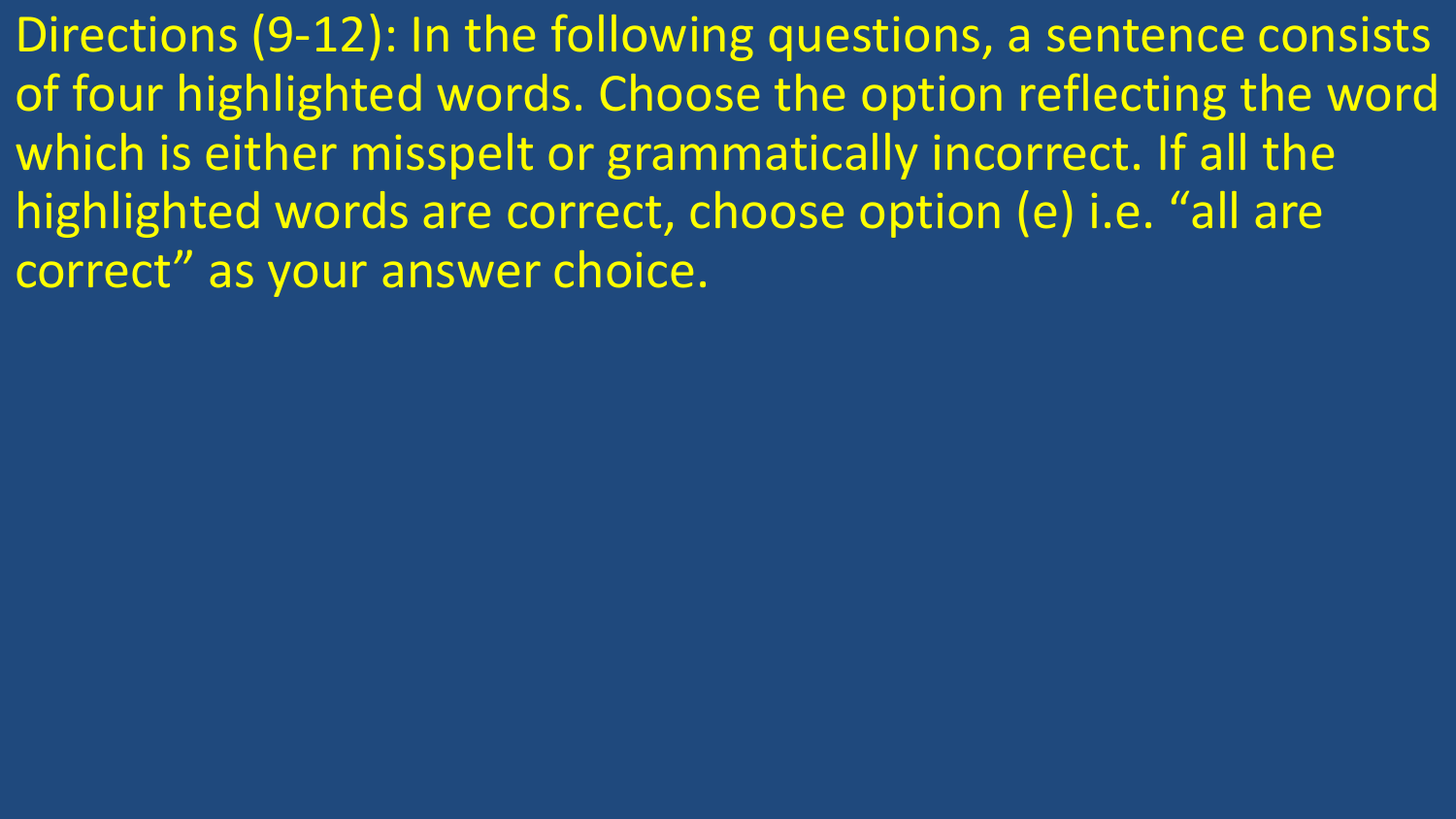Directions (9-12): In the following questions, a sentence consists of four highlighted words. Choose the option reflecting the word which is either misspelt or grammatically incorrect. If all the highlighted words are correct, choose option (e) i.e. "all are correct" as your answer choice.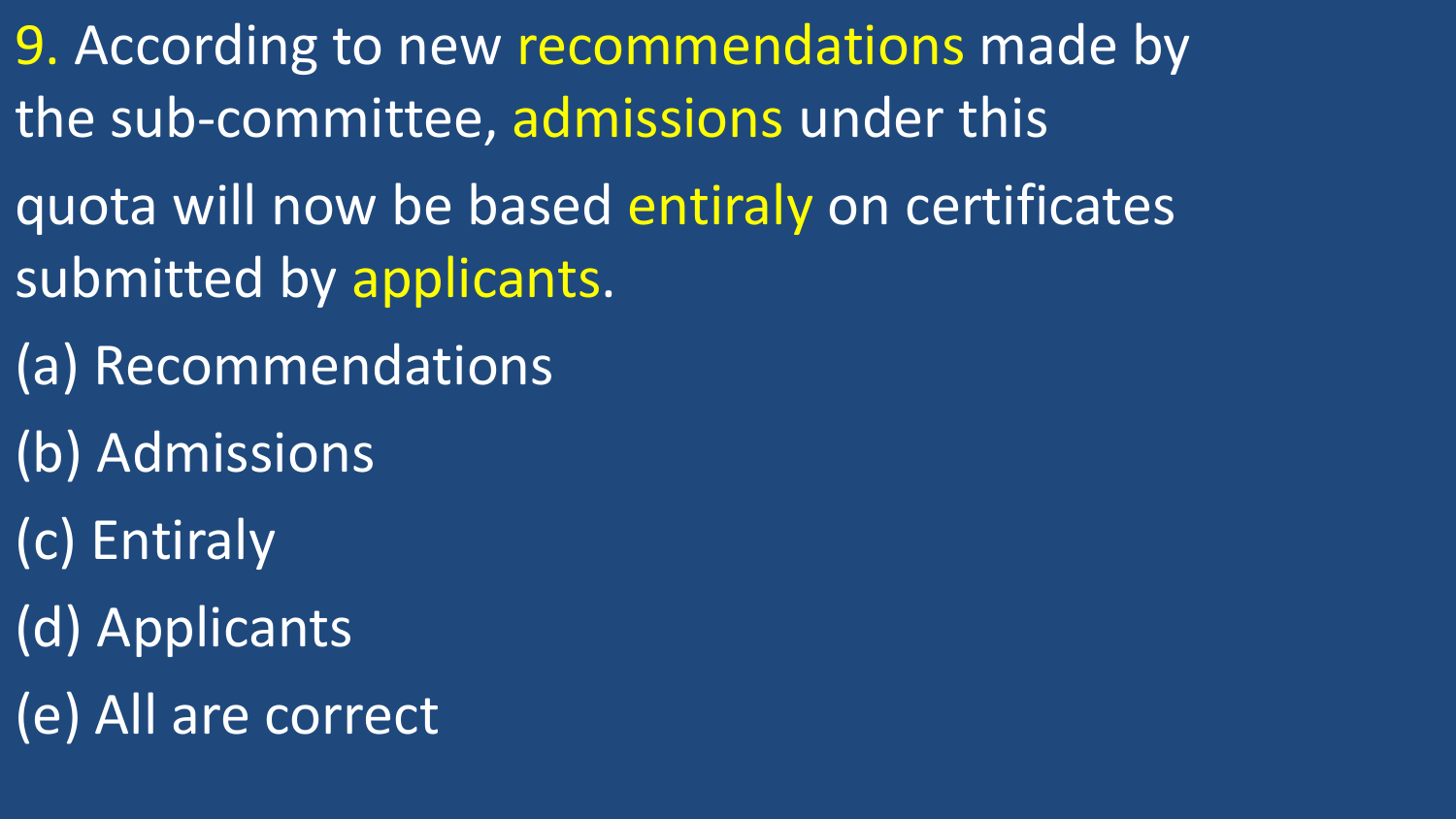- 9. According to new recommendations made by the sub-committee, admissions under this
- quota will now be based entiraly on certificates submitted by applicants.
- (a) Recommendations
- (b) Admissions
- (c) Entiraly
- (d) Applicants
- (e) All are correct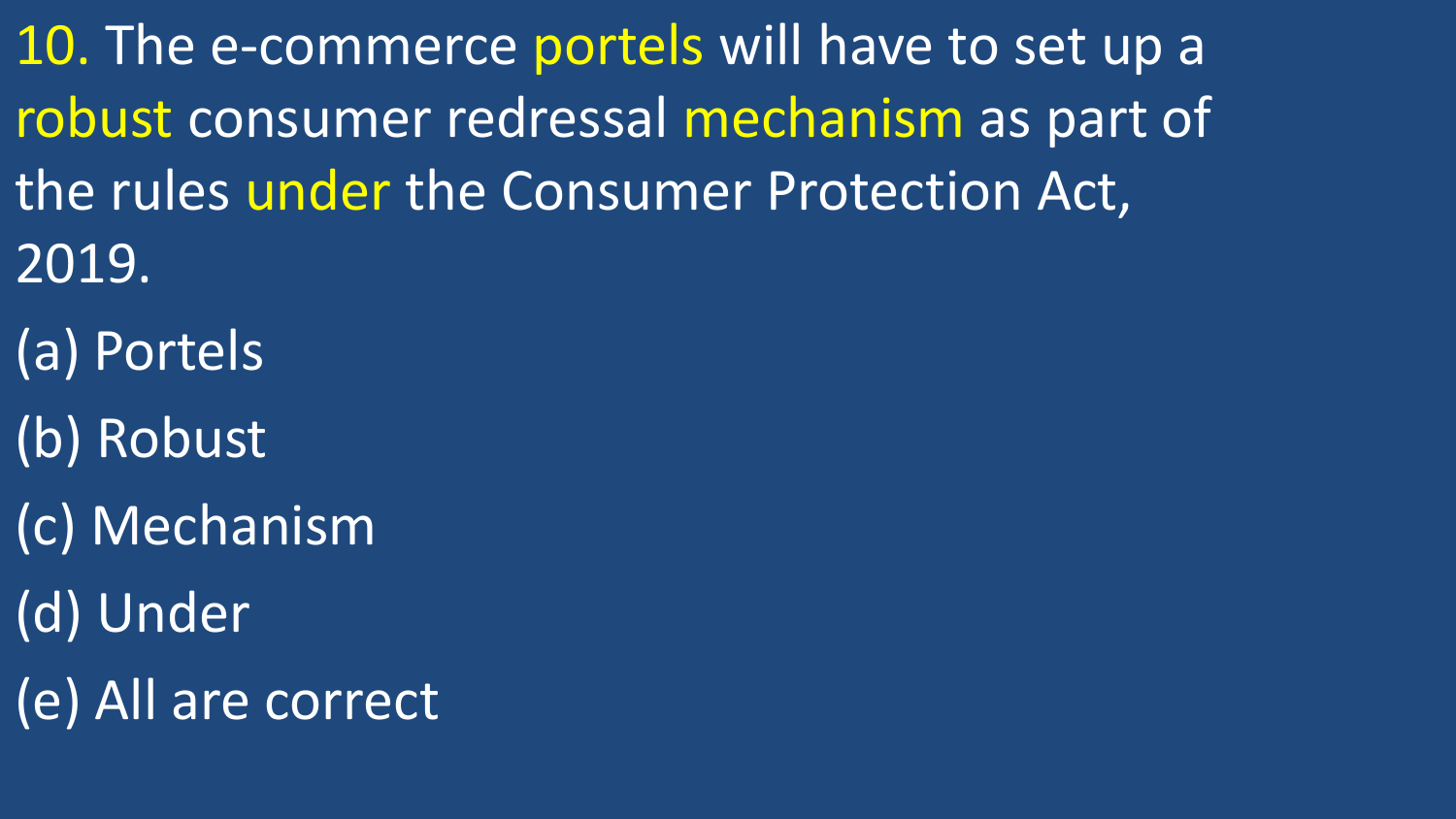10. The e-commerce portels will have to set up a robust consumer redressal mechanism as part of the rules under the Consumer Protection Act, 2019.

- (a) Portels
- (b) Robust
- (c) Mechanism
- (d) Under
- (e) All are correct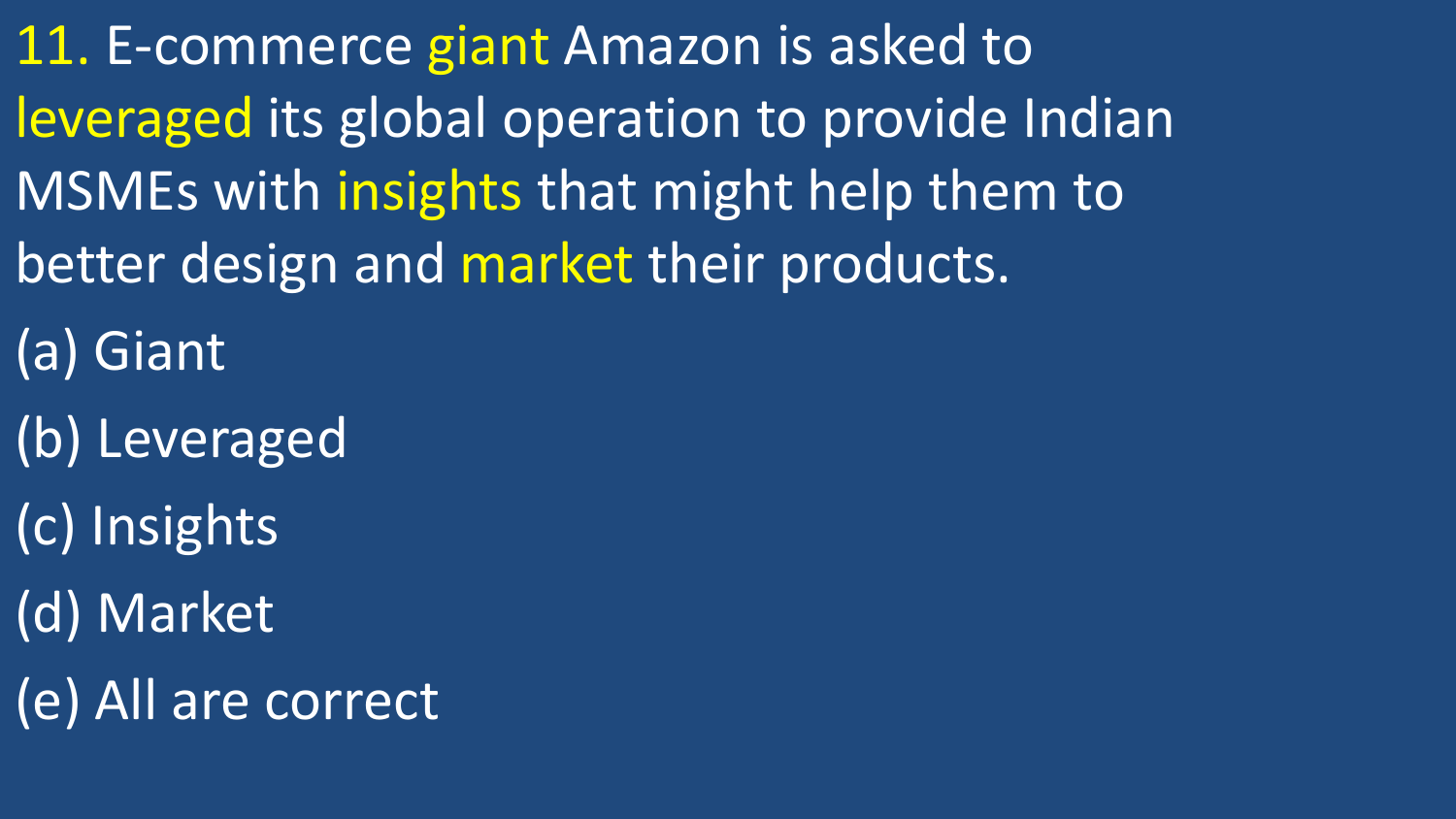11. E-commerce giant Amazon is asked to leveraged its global operation to provide Indian MSMEs with insights that might help them to better design and market their products.

(a) Giant

(b) Leveraged

(c) Insights

(d) Market

(e) All are correct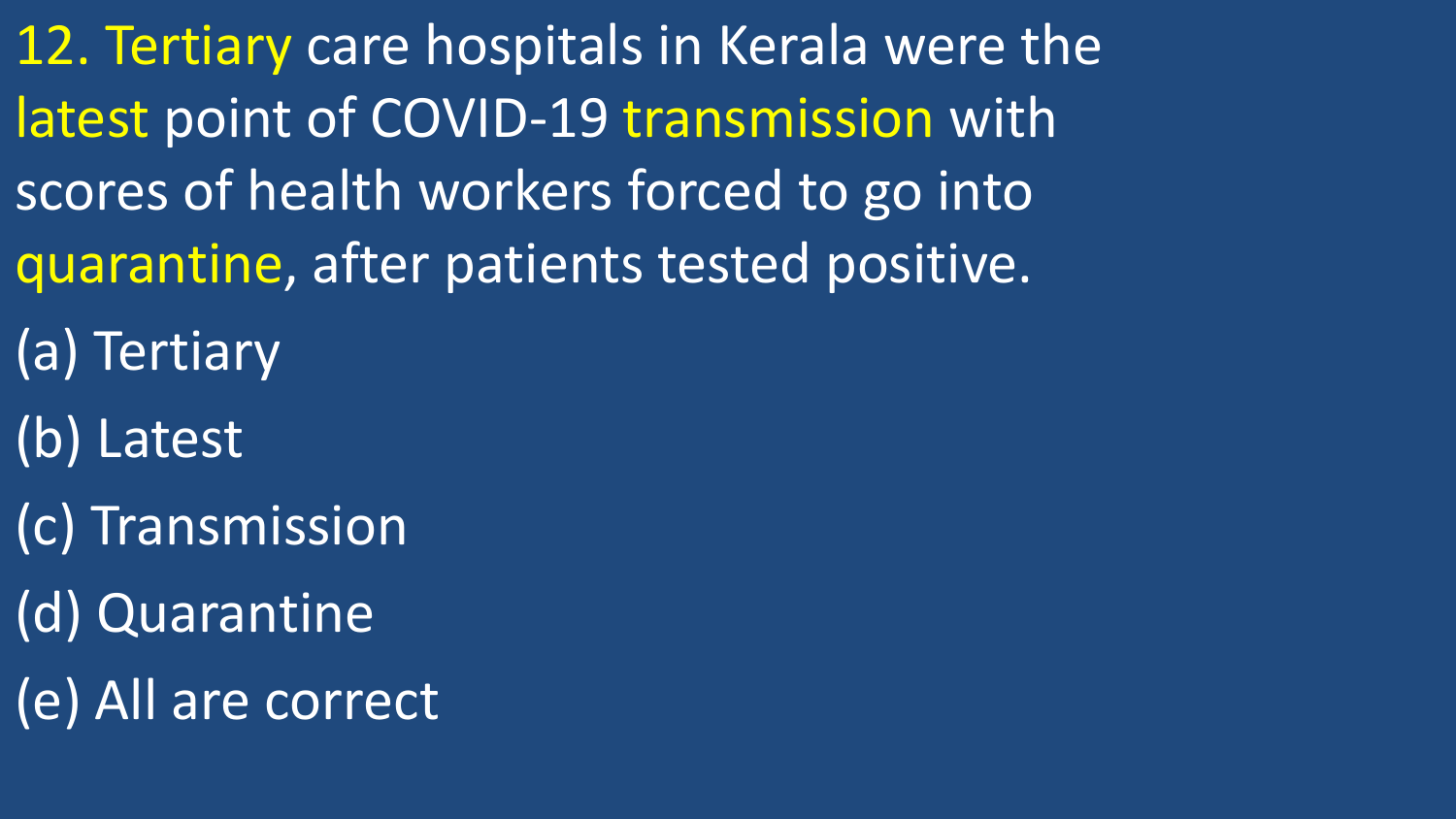12. Tertiary care hospitals in Kerala were the latest point of COVID-19 transmission with scores of health workers forced to go into quarantine, after patients tested positive.

- (a) Tertiary
- (b) Latest
- (c) Transmission
- (d) Quarantine
- (e) All are correct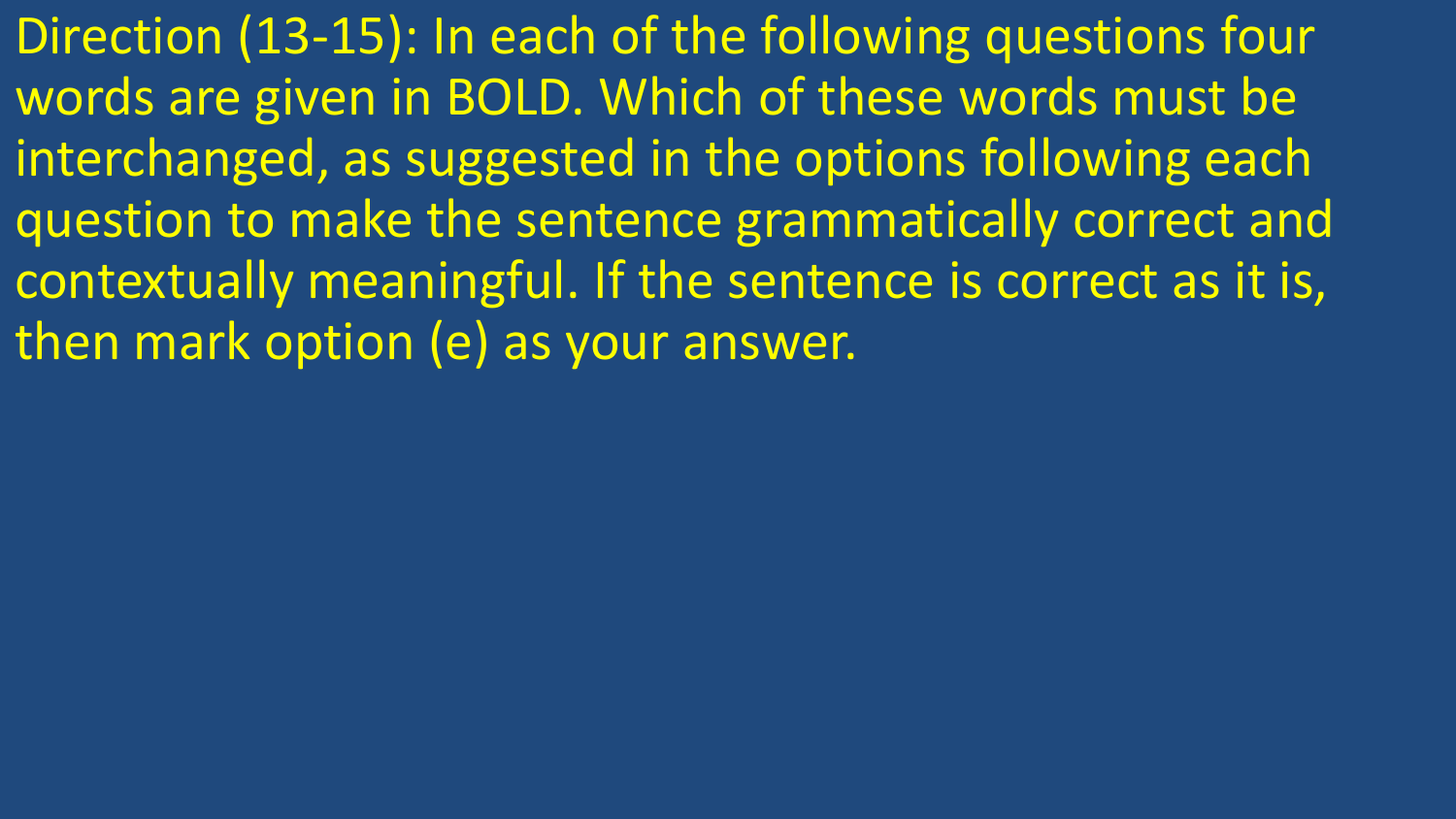Direction (13-15): In each of the following questions four words are given in BOLD. Which of these words must be interchanged, as suggested in the options following each question to make the sentence grammatically correct and contextually meaningful. If the sentence is correct as it is, then mark option (e) as your answer.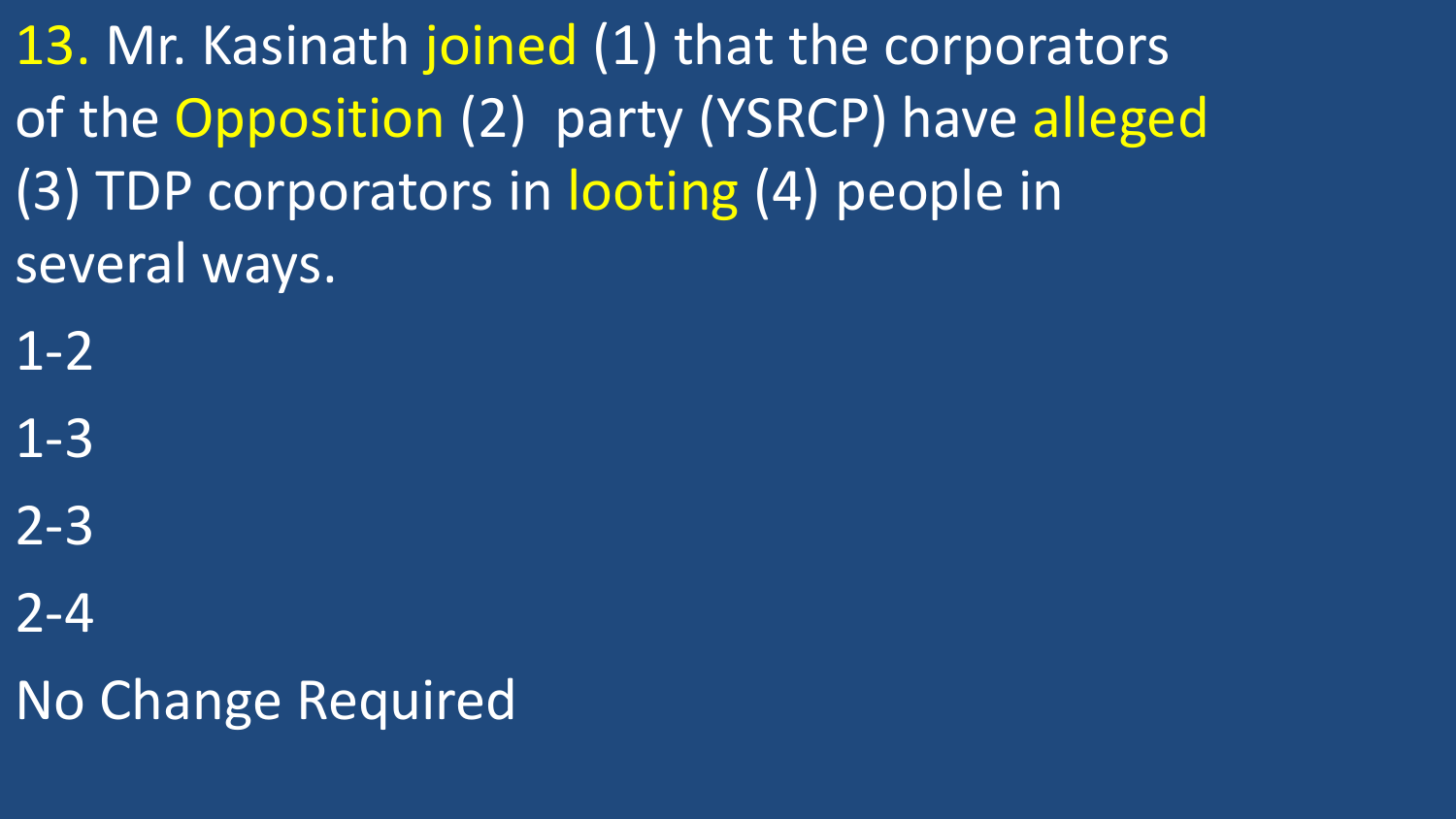13. Mr. Kasinath joined (1) that the corporators of the Opposition (2) party (YSRCP) have alleged (3) TDP corporators in looting (4) people in several ways.

1-2

1-3

2-3

2-4

No Change Required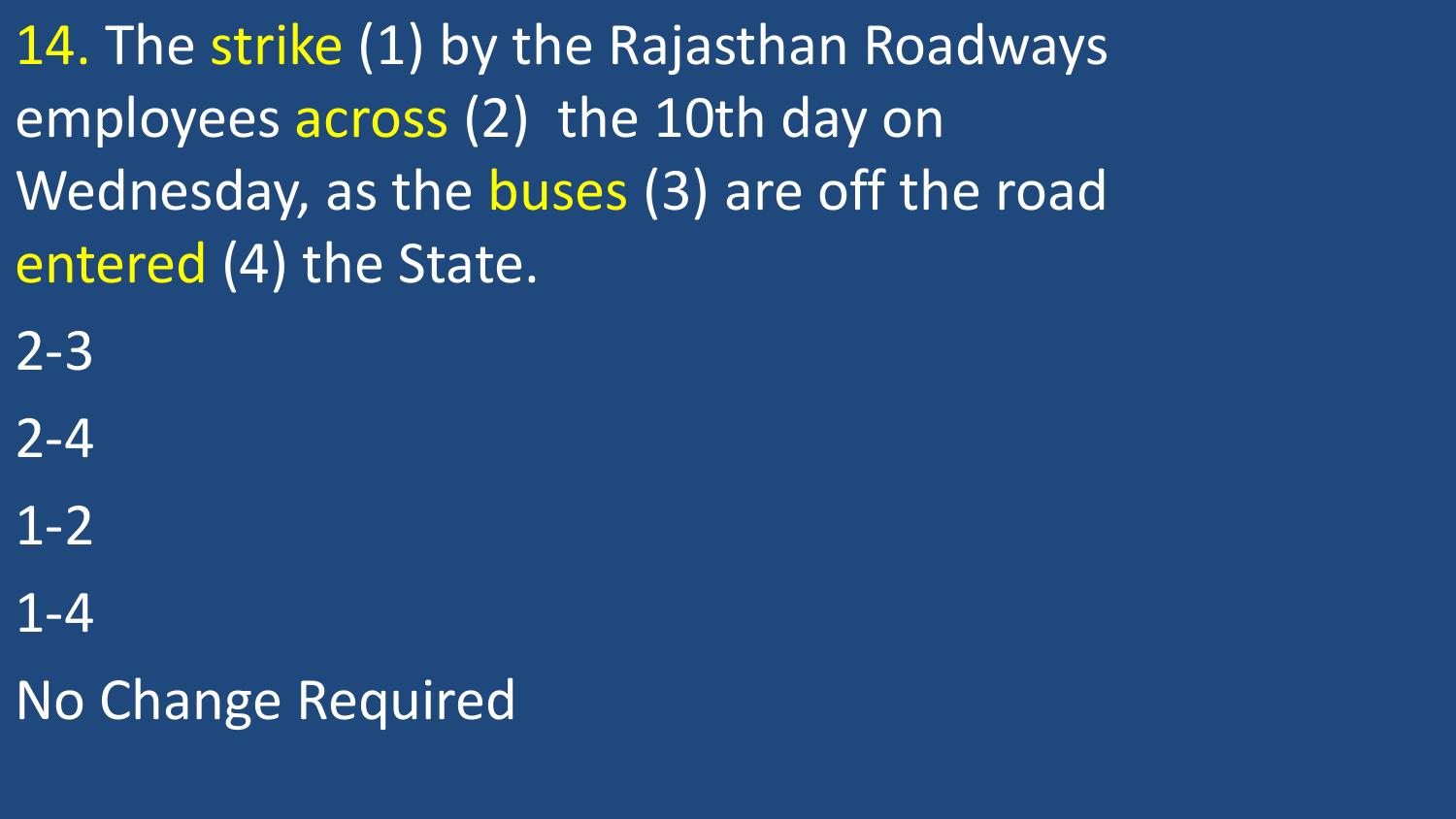14. The strike (1) by the Rajasthan Roadways employees across (2) the 10th day on Wednesday, as the buses (3) are off the road entered (4) the State.

2-3

2-4

1-2

1-4

No Change Required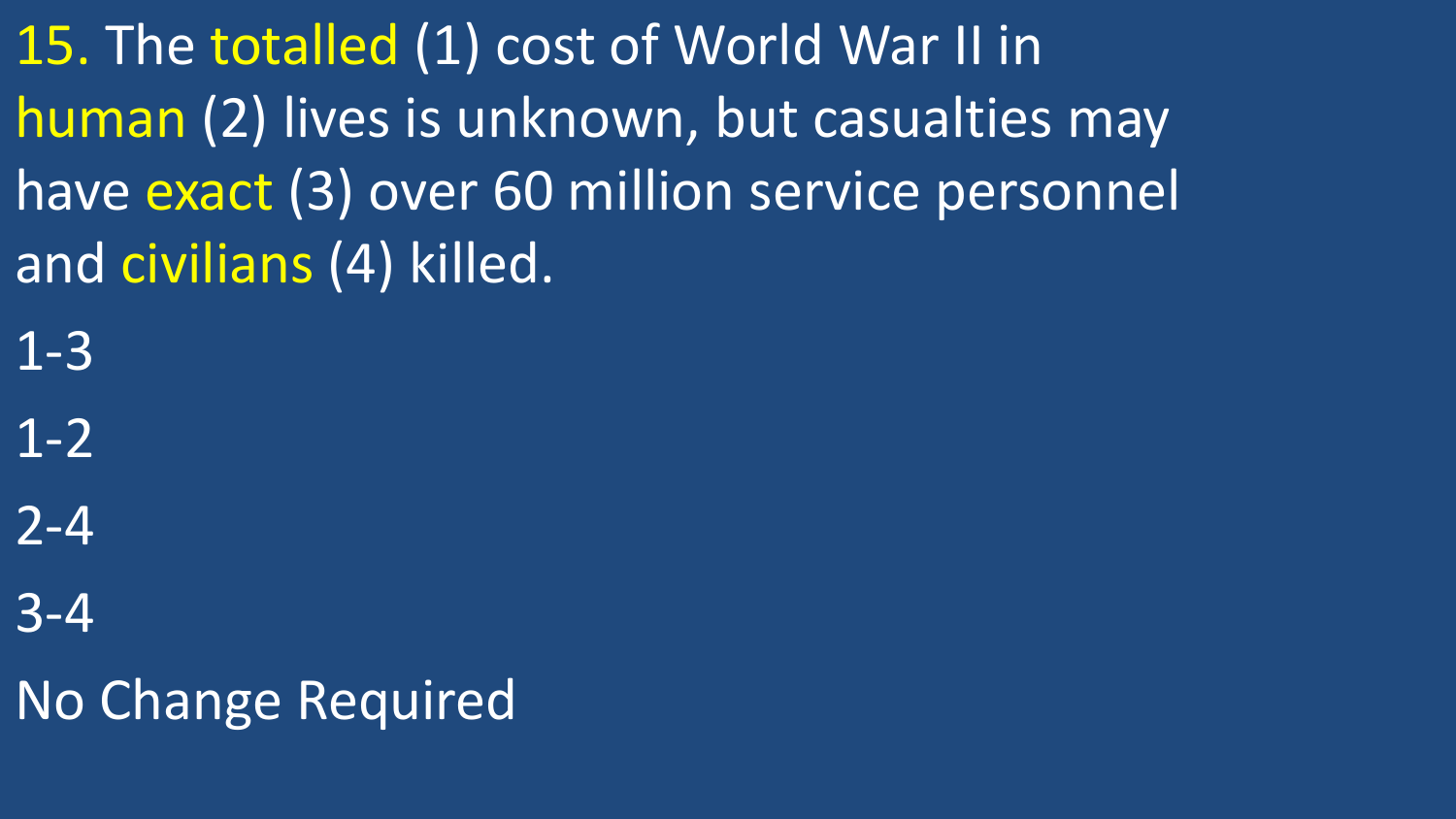15. The totalled (1) cost of World War II in human (2) lives is unknown, but casualties may have exact (3) over 60 million service personnel and civilians (4) killed.

1-3

1-2

2-4

3-4

No Change Required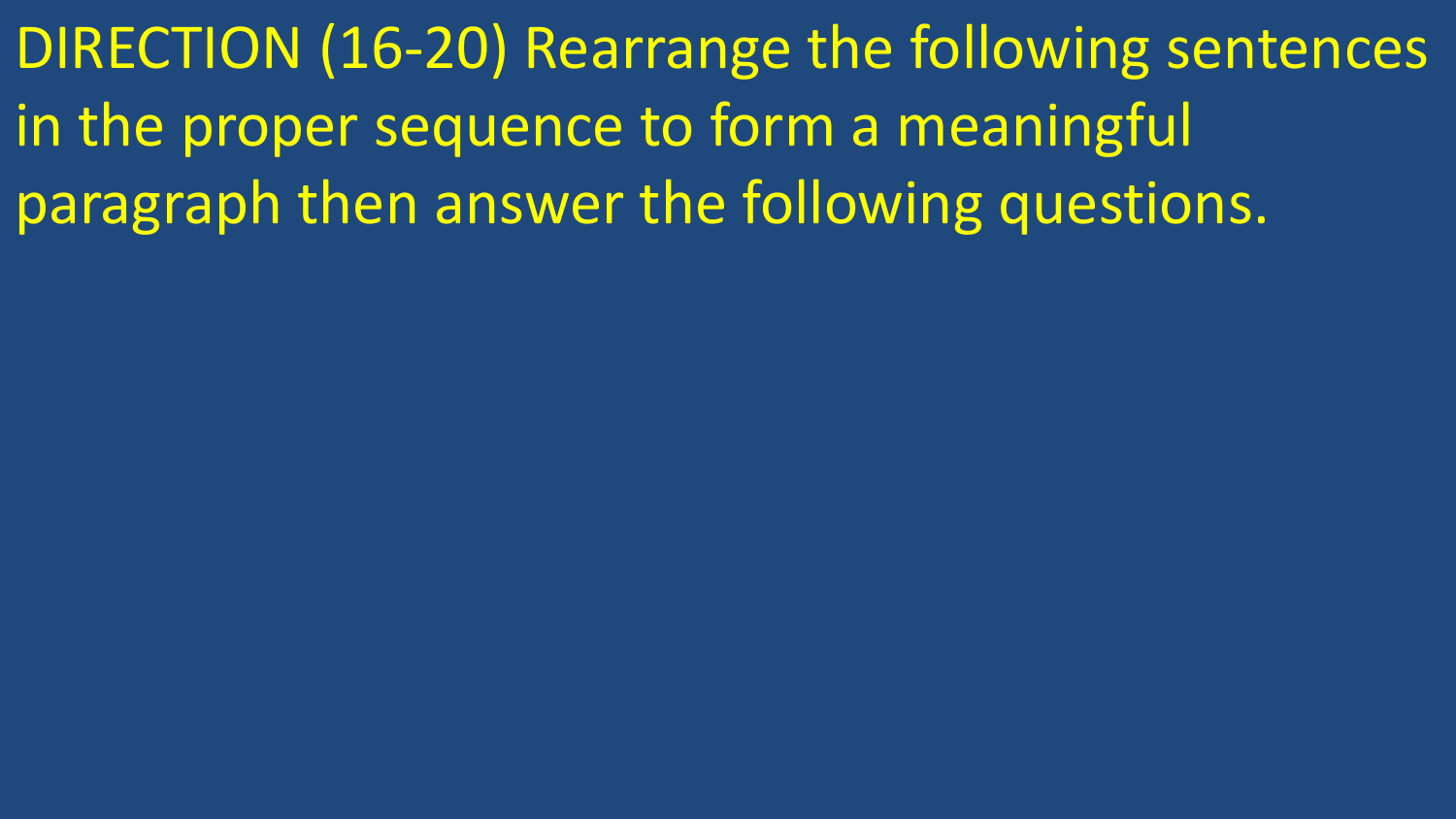DIRECTION (16-20) Rearrange the following sentences in the proper sequence to form a meaningful paragraph then answer the following questions.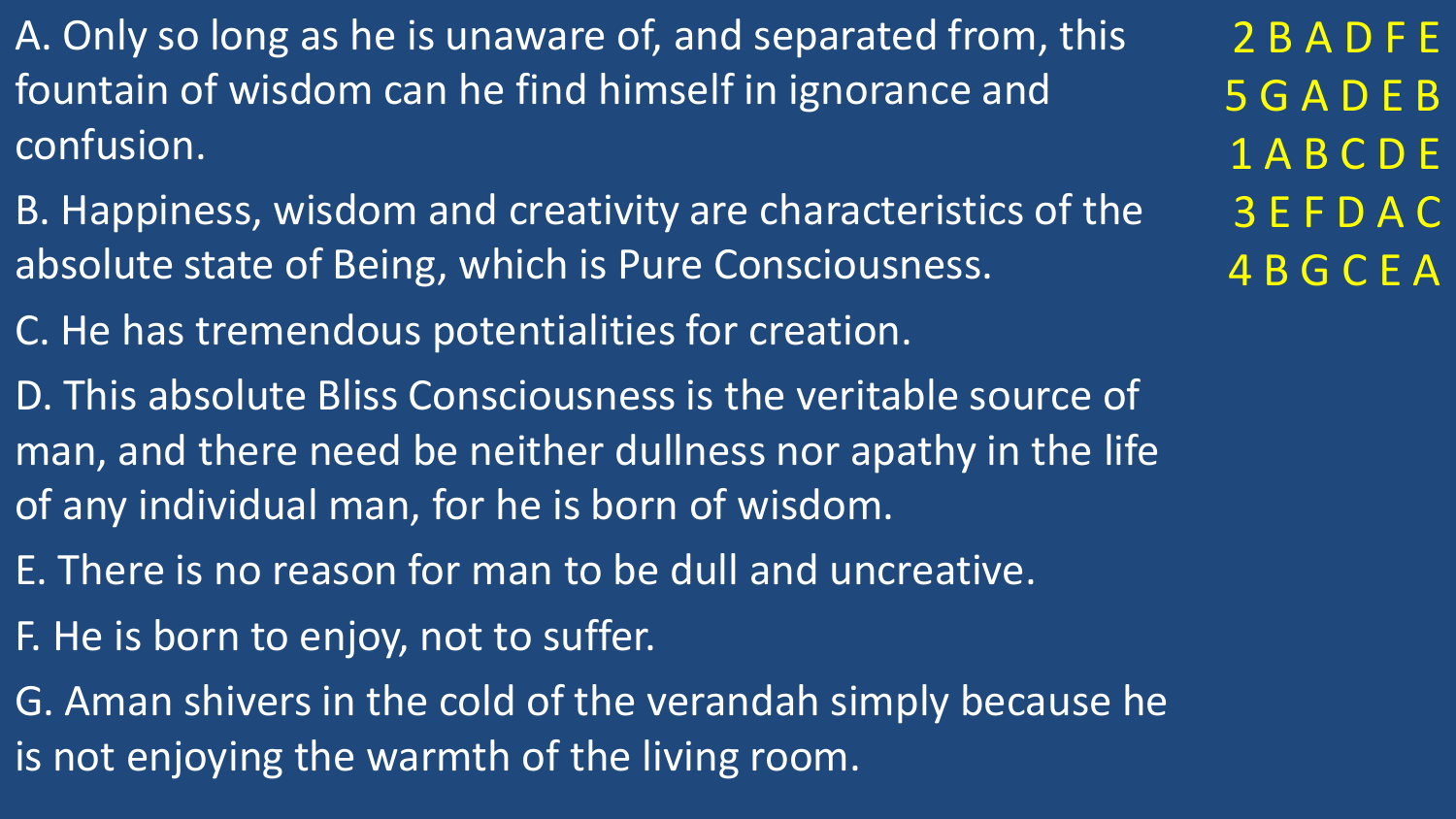- A. Only so long as he is unaware of, and separated from, this fountain of wisdom can he find himself in ignorance and confusion.
- B. Happiness, wisdom and creativity are characteristics of the absolute state of Being, which is Pure Consciousness.
- C. He has tremendous potentialities for creation.
- D. This absolute Bliss Consciousness is the veritable source of man, and there need be neither dullness nor apathy in the life of any individual man, for he is born of wisdom.
- E. There is no reason for man to be dull and uncreative.
- F. He is born to enjoy, not to suffer.
- G. Aman shivers in the cold of the verandah simply because he is not enjoying the warmth of the living room.

2 B A D F E 5 G A D E B 1 A B C D E 3 E F D A C 4 B G C E A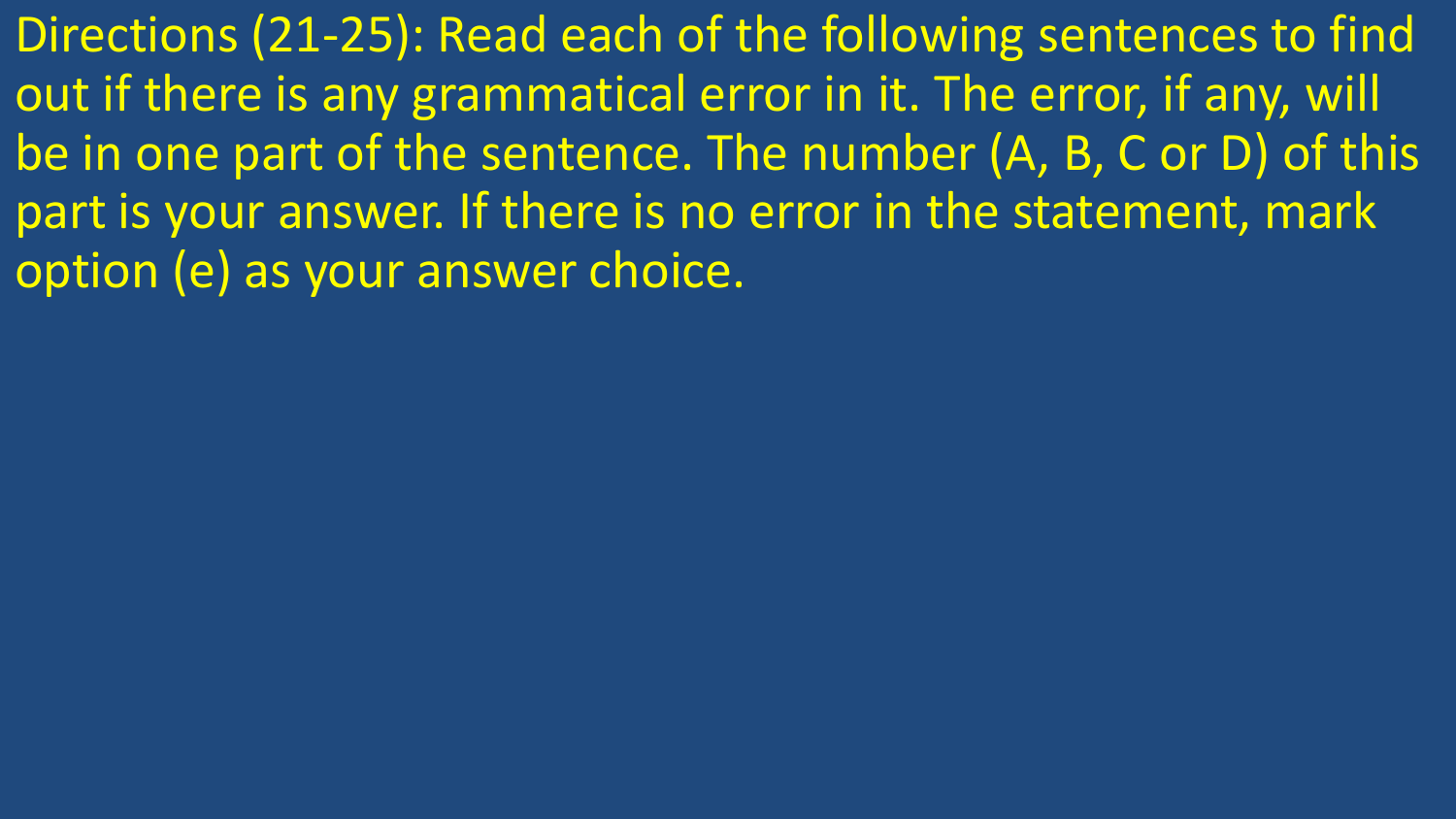Directions (21-25): Read each of the following sentences to find out if there is any grammatical error in it. The error, if any, will be in one part of the sentence. The number (A, B, C or D) of this part is your answer. If there is no error in the statement, mark option (e) as your answer choice.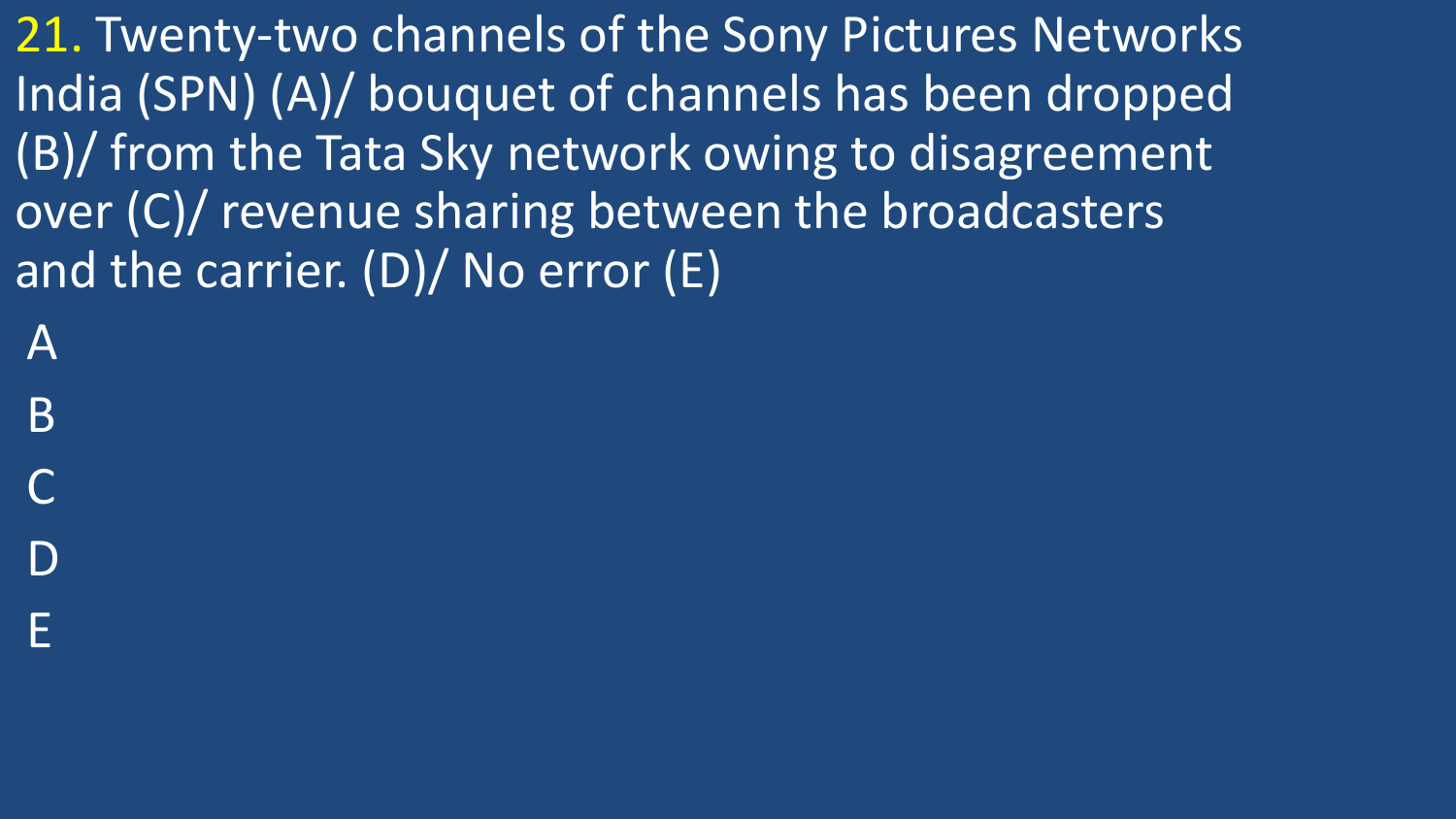21. Twenty-two channels of the Sony Pictures Networks India (SPN) (A)/ bouquet of channels has been dropped (B)/ from the Tata Sky network owing to disagreement over (C)/ revenue sharing between the broadcasters and the carrier.  $(D)/$  No error  $(E)$ 

A

B

C

D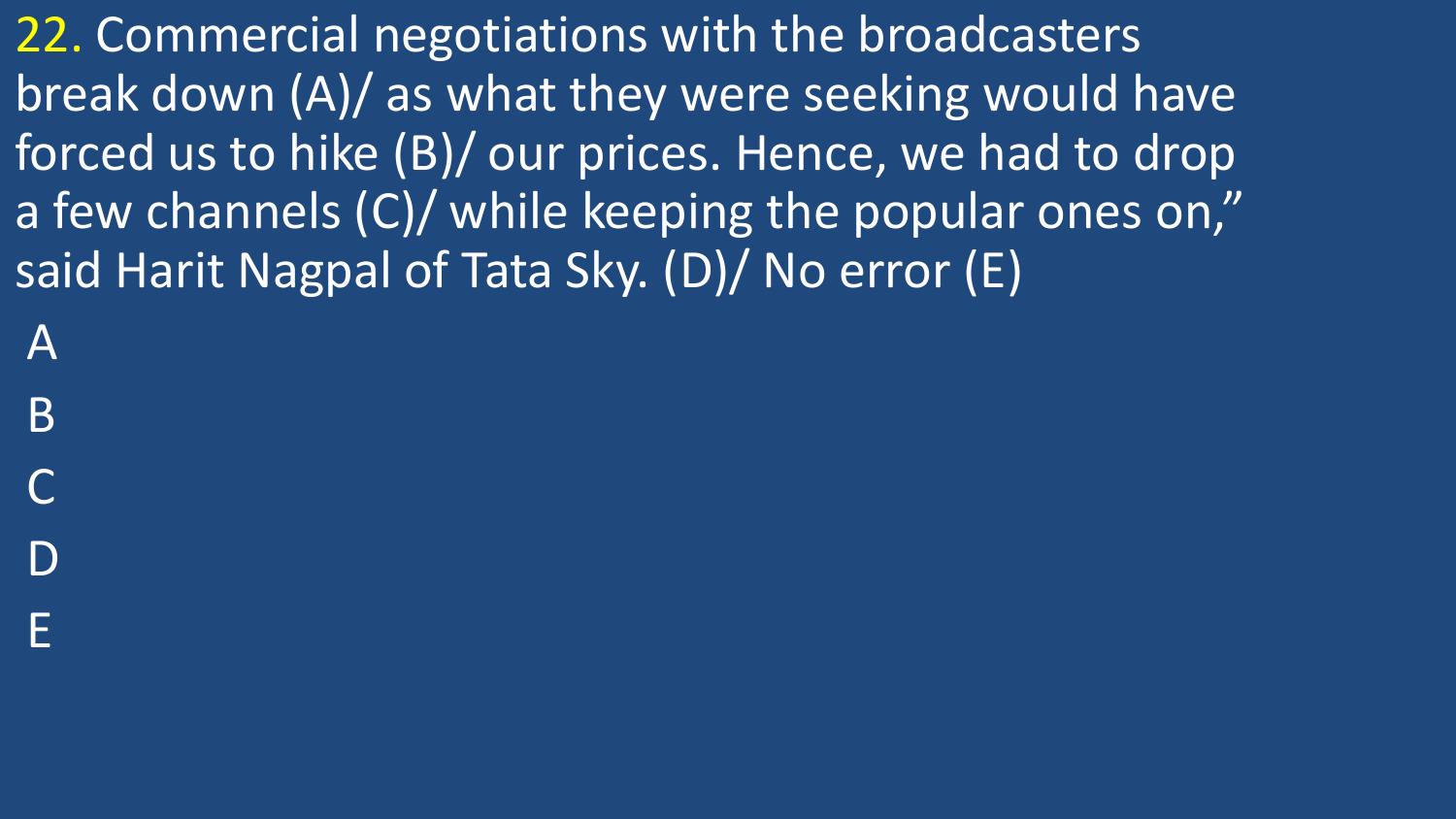22. Commercial negotiations with the broadcasters break down (A)/ as what they were seeking would have forced us to hike (B)/ our prices. Hence, we had to drop a few channels (C)/ while keeping the popular ones on," said Harit Nagpal of Tata Sky. (D)/ No error (E)

A

B

C

D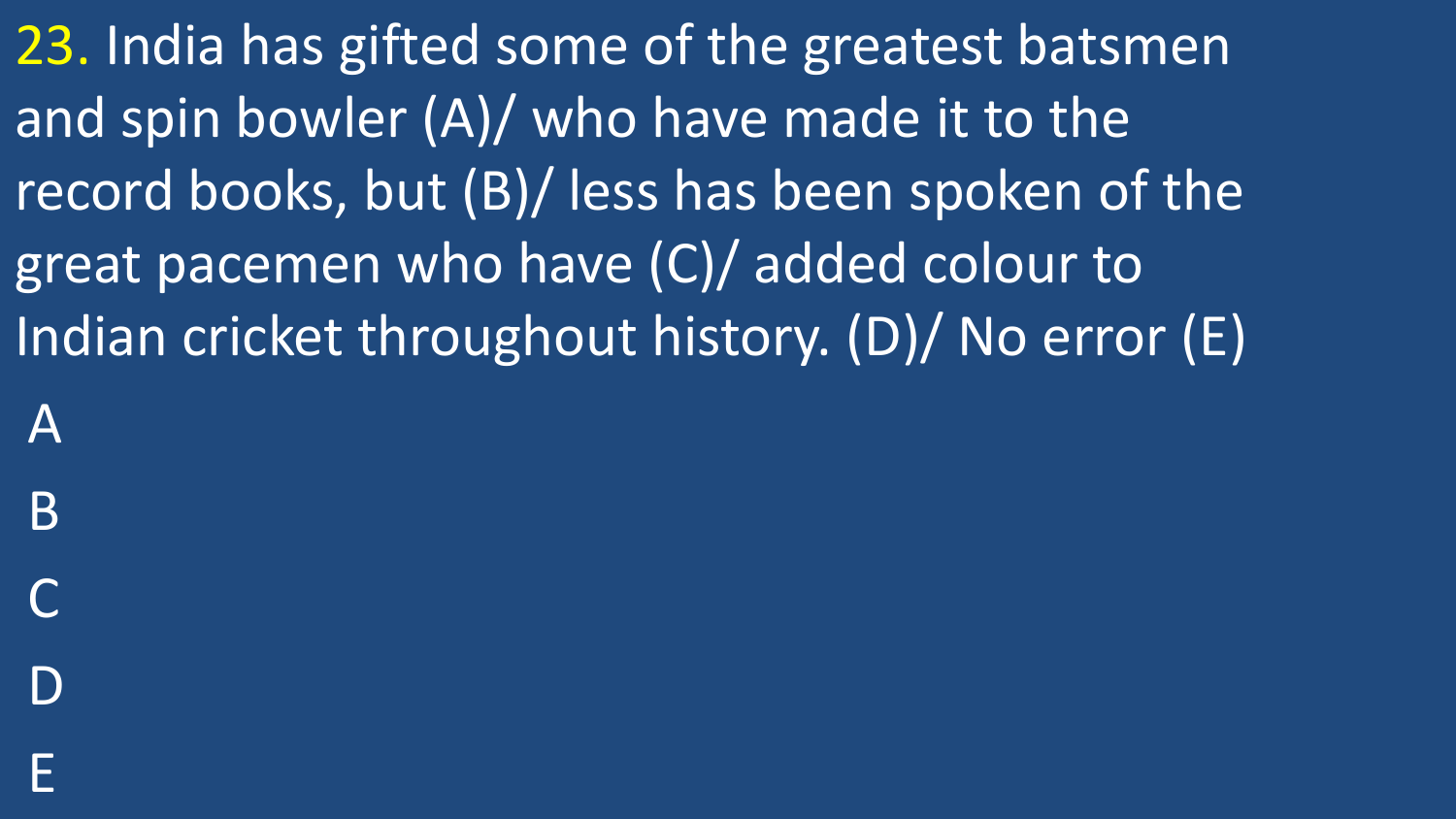23. India has gifted some of the greatest batsmen and spin bowler (A)/ who have made it to the record books, but (B)/ less has been spoken of the great pacemen who have (C)/ added colour to Indian cricket throughout history. (D)/ No error (E)

A B C

D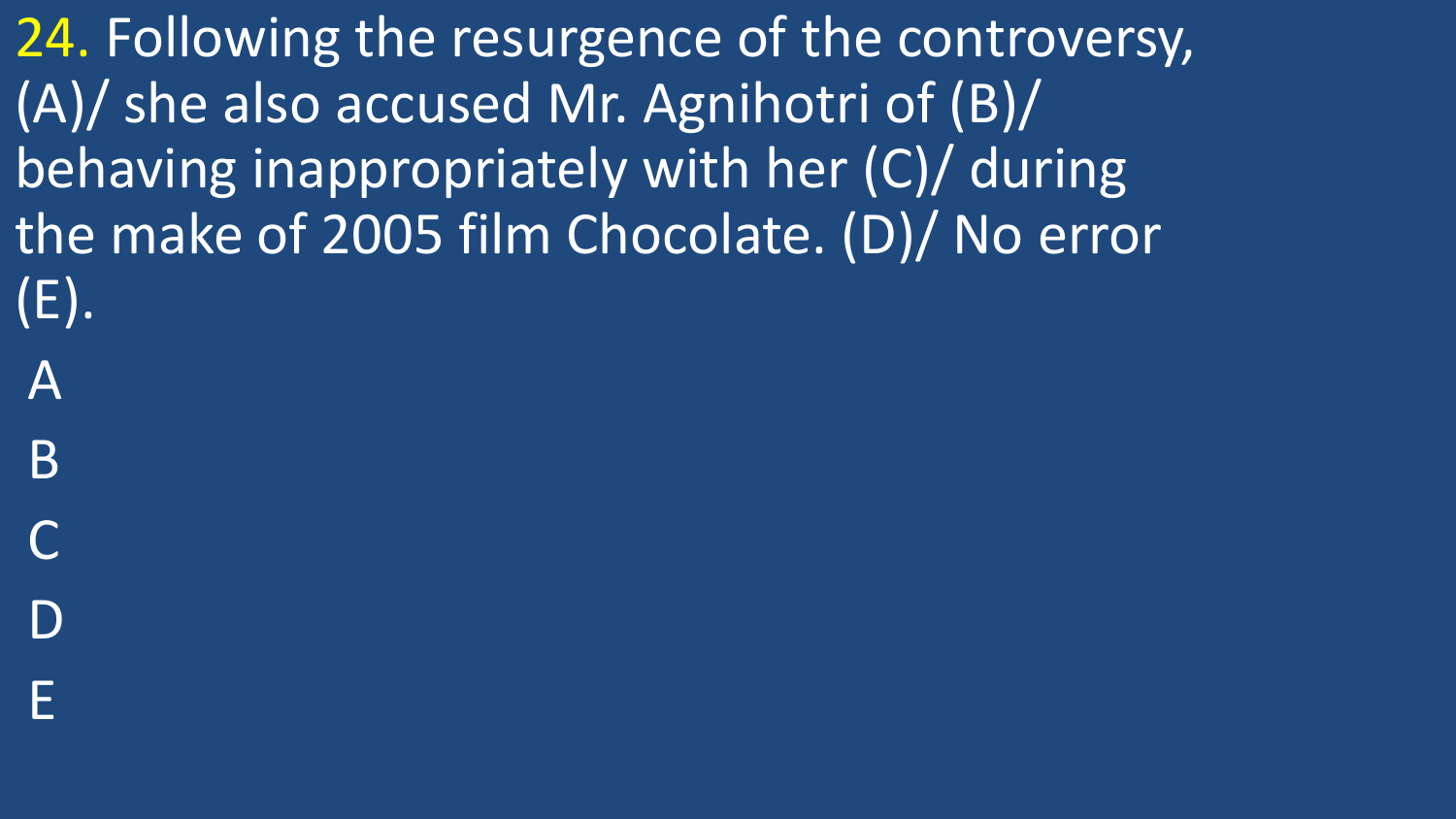24. Following the resurgence of the controversy, (A)/ she also accused Mr. Agnihotri of (B)/ behaving inappropriately with her (C)/ during the make of 2005 film Chocolate. (D)/ No error (E).

- A
- B
- C
- D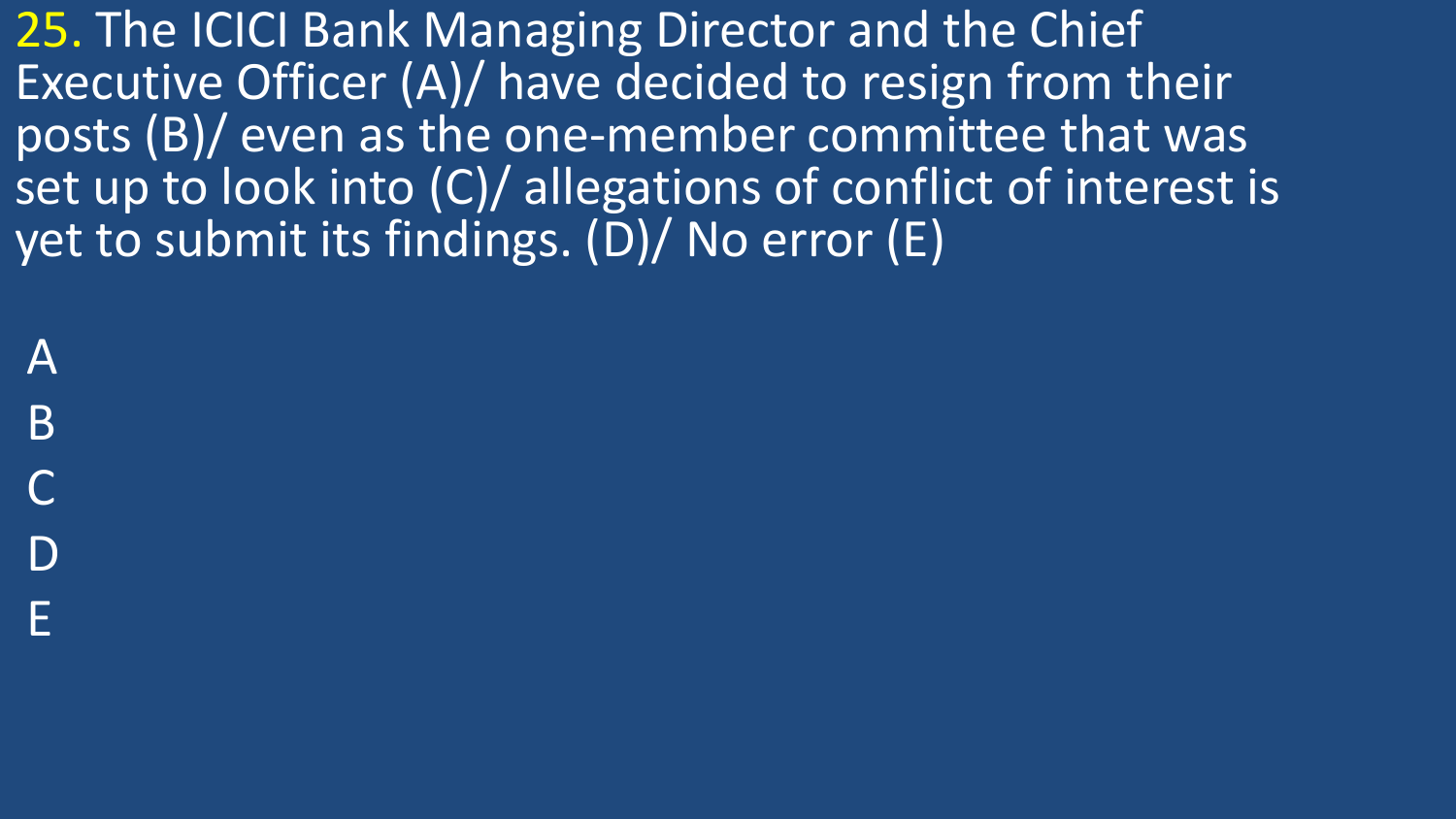25. The ICICI Bank Managing Director and the Chief Executive Officer (A)/ have decided to resign from their posts (B)/ even as the one-member committee that was set up to look into (C)/ allegations of conflict of interest is yet to submit its findings. (D)/ No error (E)

A

B

C

D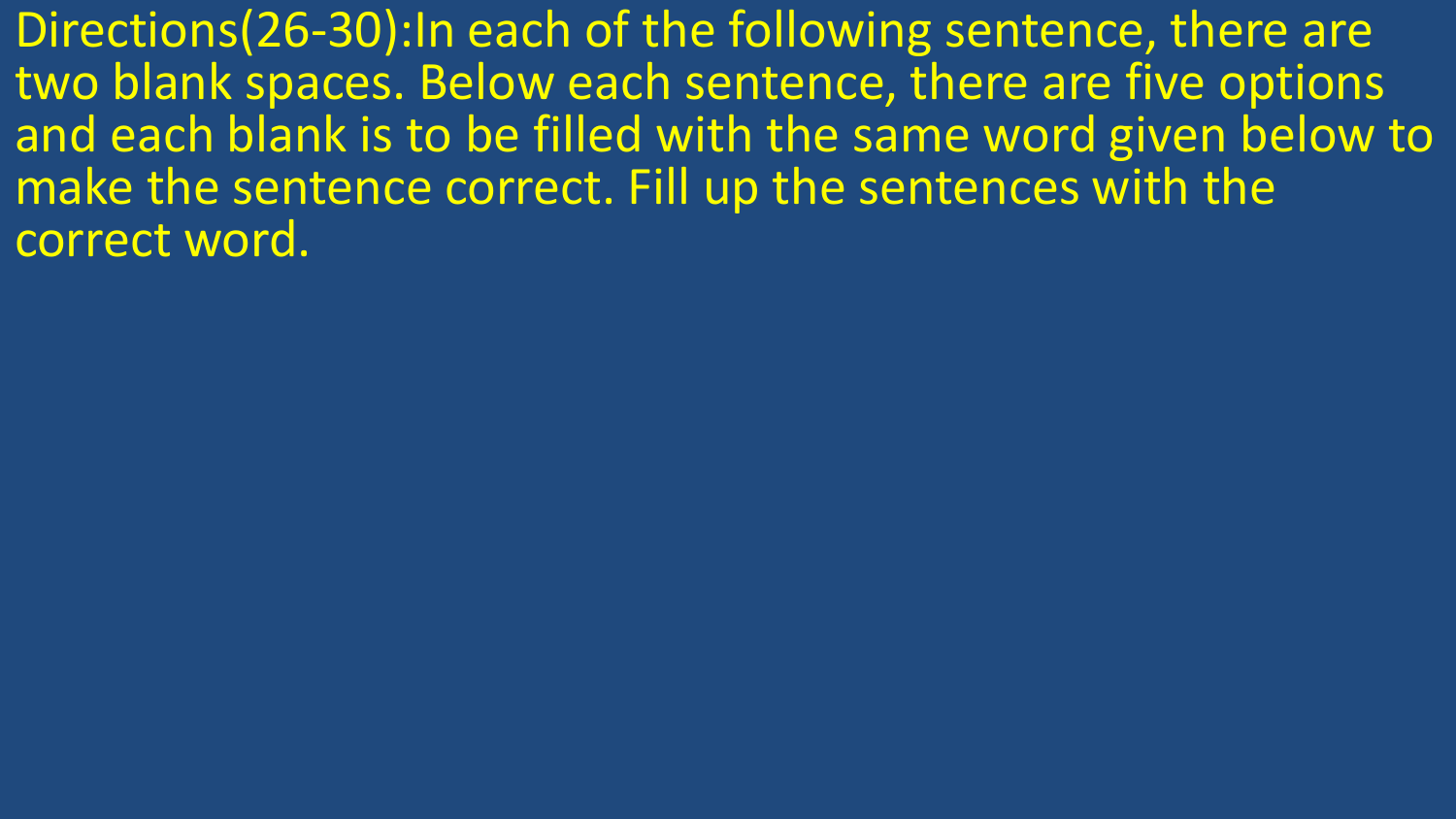Directions(26-30):In each of the following sentence, there are two blank spaces. Below each sentence, there are five options and each blank is to be filled with the same word given below to make the sentence correct. Fill up the sentences with the correct word.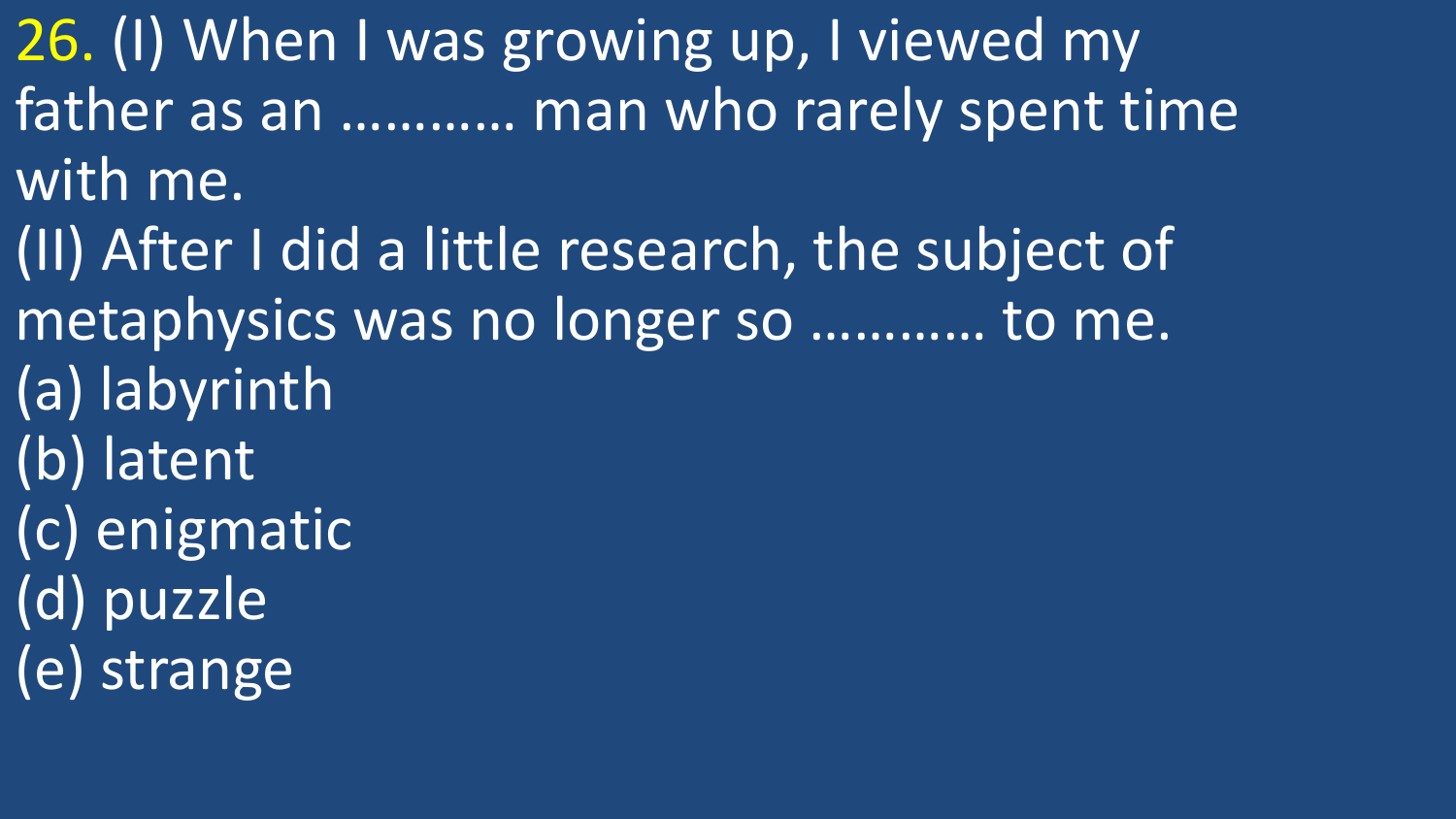26. (I) When I was growing up, I viewed my father as an ………… man who rarely spent time with me. (II) After I did a little research, the subject of metaphysics was no longer so ………… to me.

- (a) labyrinth
- (b) latent
- (c) enigmatic
- (d) puzzle
- (e) strange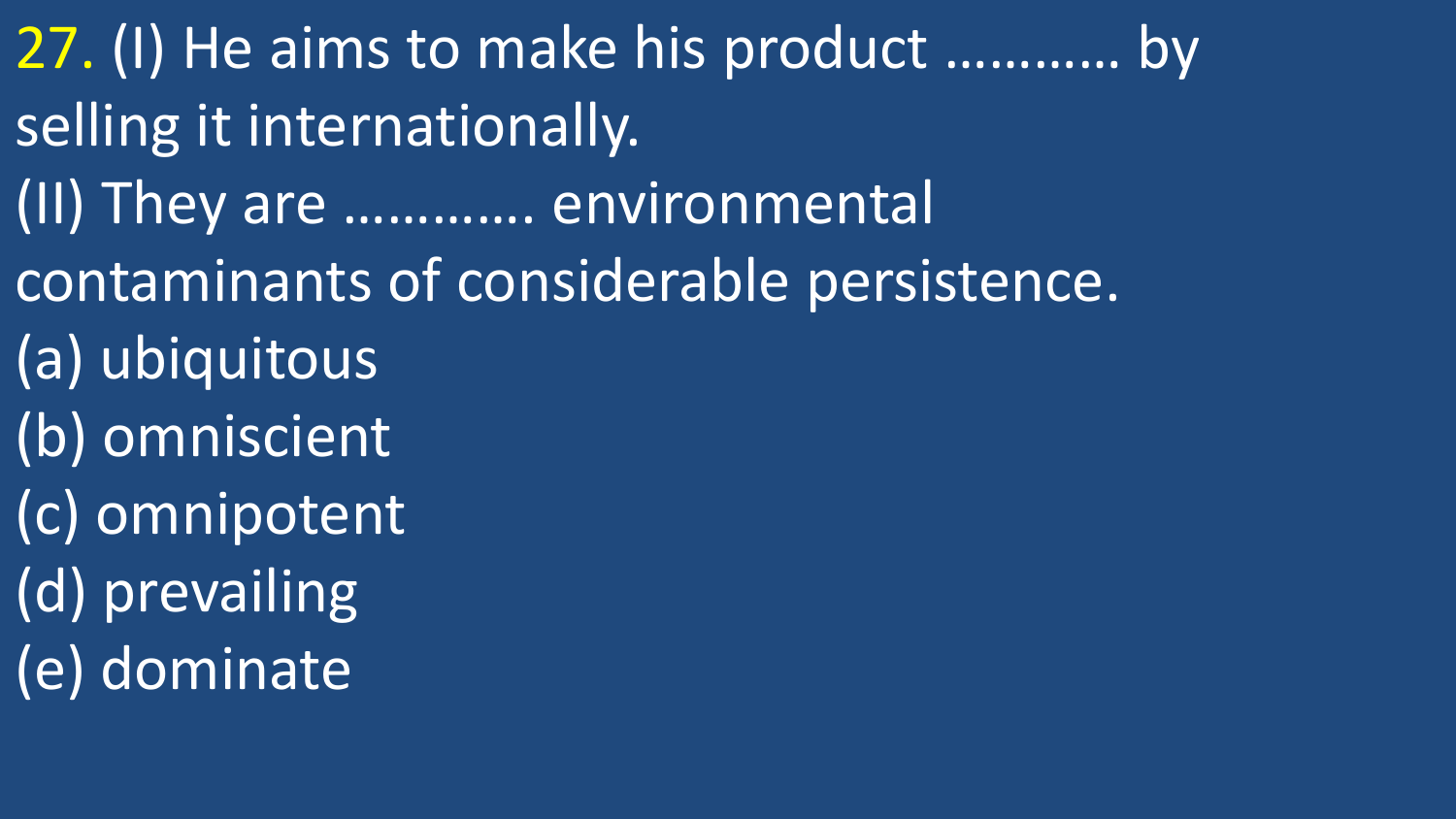27. (I) He aims to make his product ………… by selling it internationally. (II) They are …………. environmental contaminants of considerable persistence. (a) ubiquitous (b) omniscient (c) omnipotent (d) prevailing (e) dominate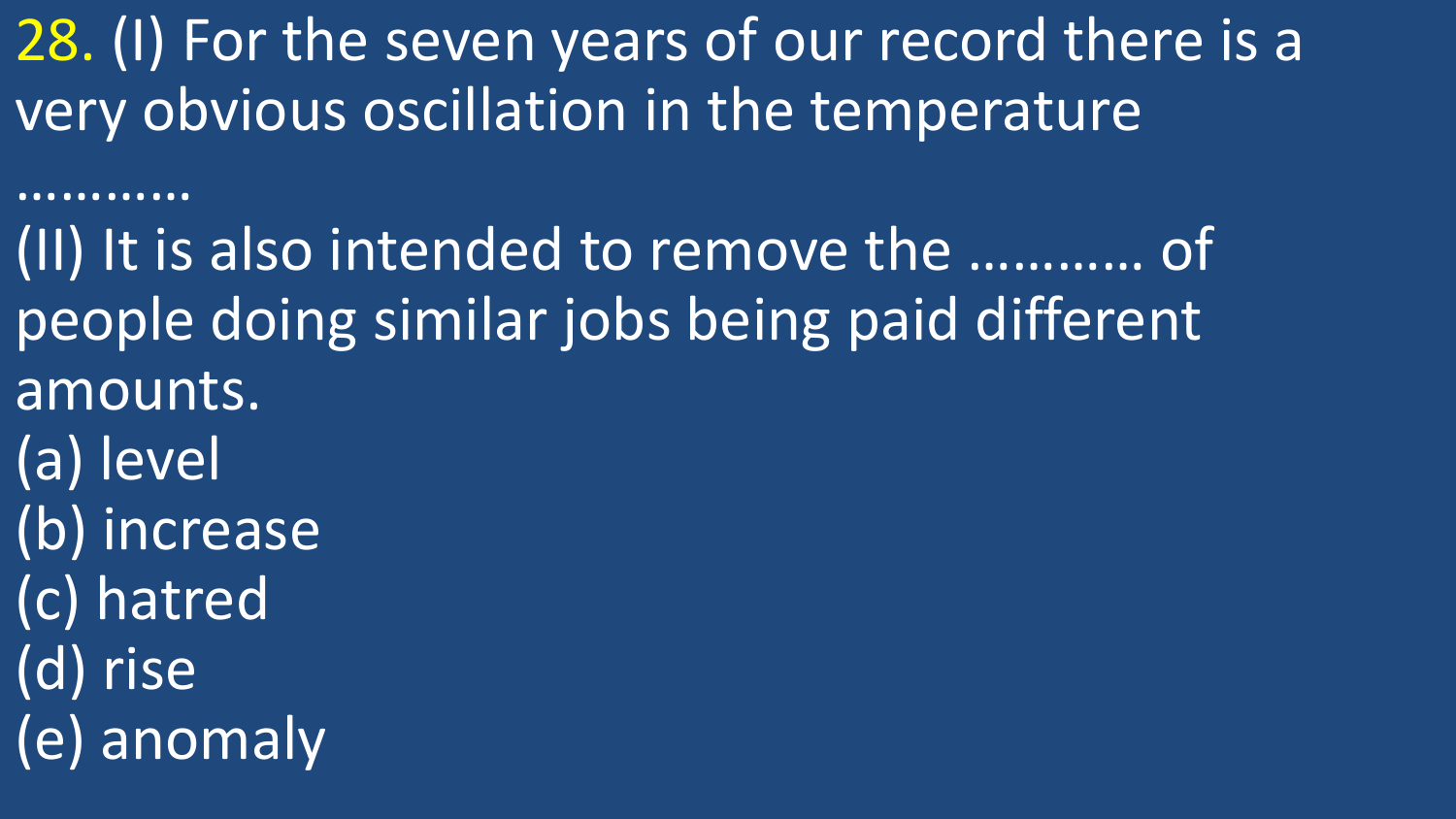28. (I) For the seven years of our record there is a very obvious oscillation in the temperature

…………

(II) It is also intended to remove the ………… of people doing similar jobs being paid different amounts. (a) level (b) increase (c) hatred (d) rise (e) anomaly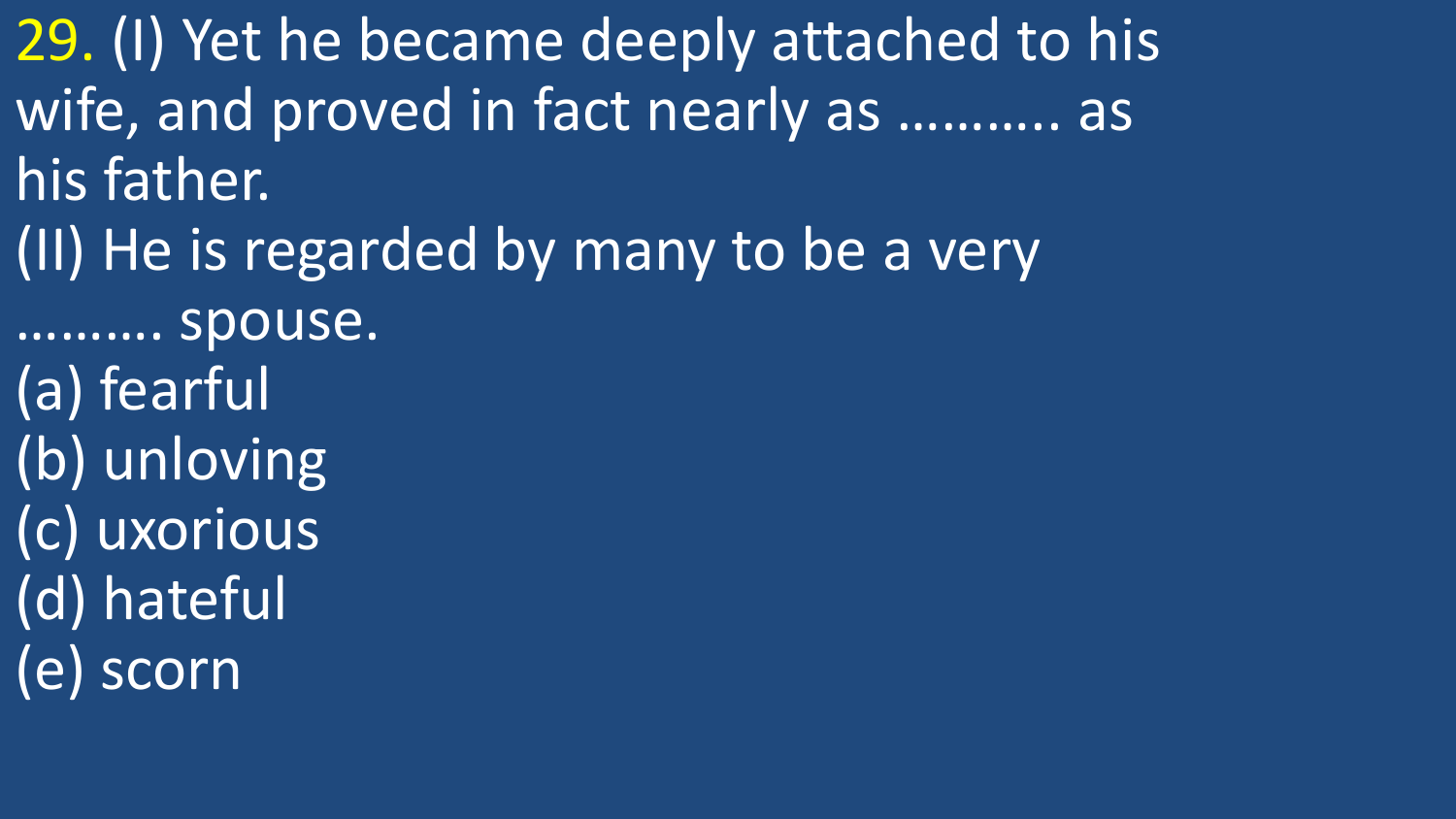29. (I) Yet he became deeply attached to his wife, and proved in fact nearly as ……….. as his father. (II) He is regarded by many to be a very ………. spouse. (a) fearful (b) unloving (c) uxorious

(d) hateful

(e) scorn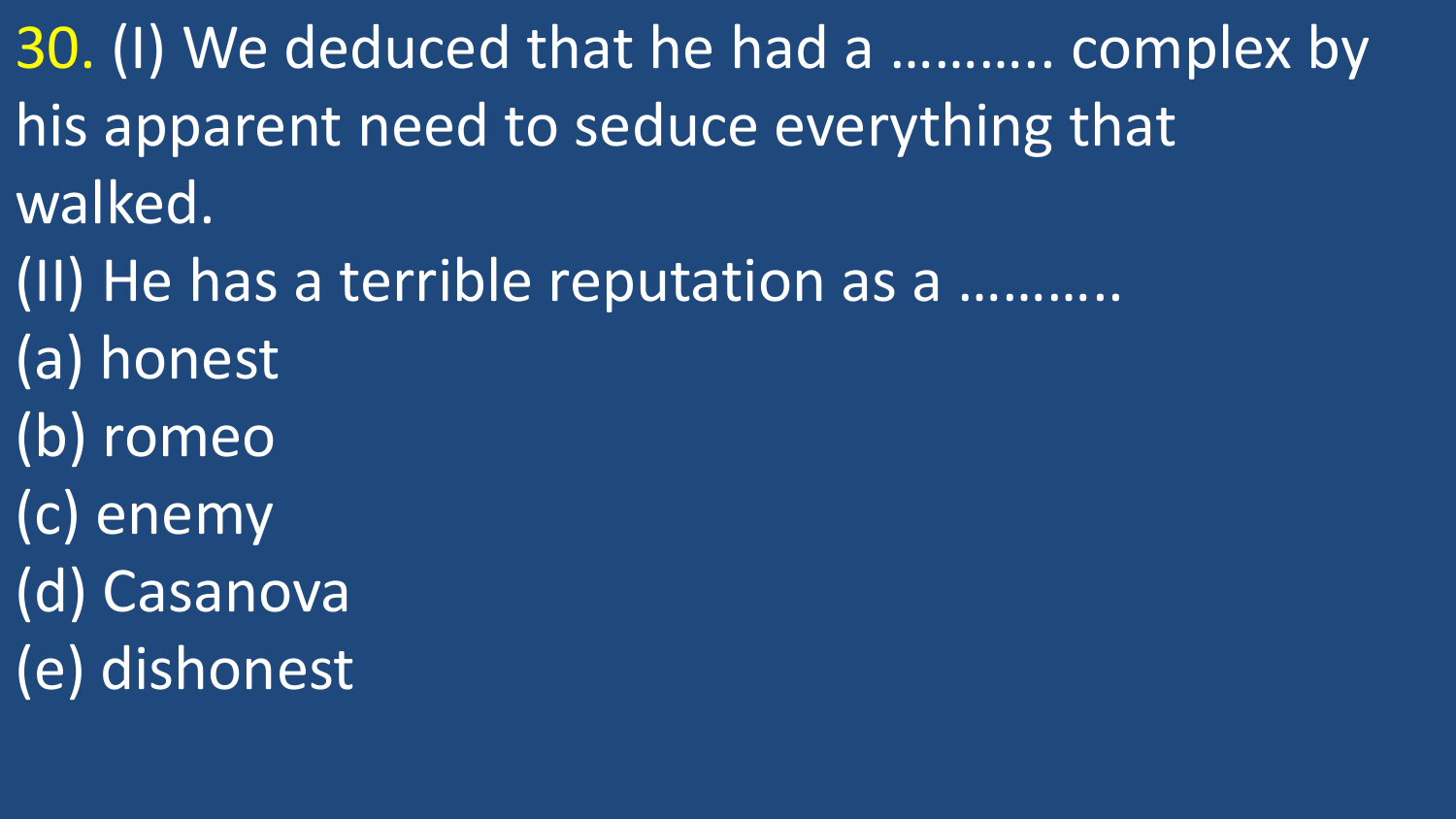30. (I) We deduced that he had a ……….. complex by his apparent need to seduce everything that walked.

- (II) He has a terrible reputation as a ………..
- (a) honest
- (b) romeo
- (c) enemy
- (d) Casanova
- (e) dishonest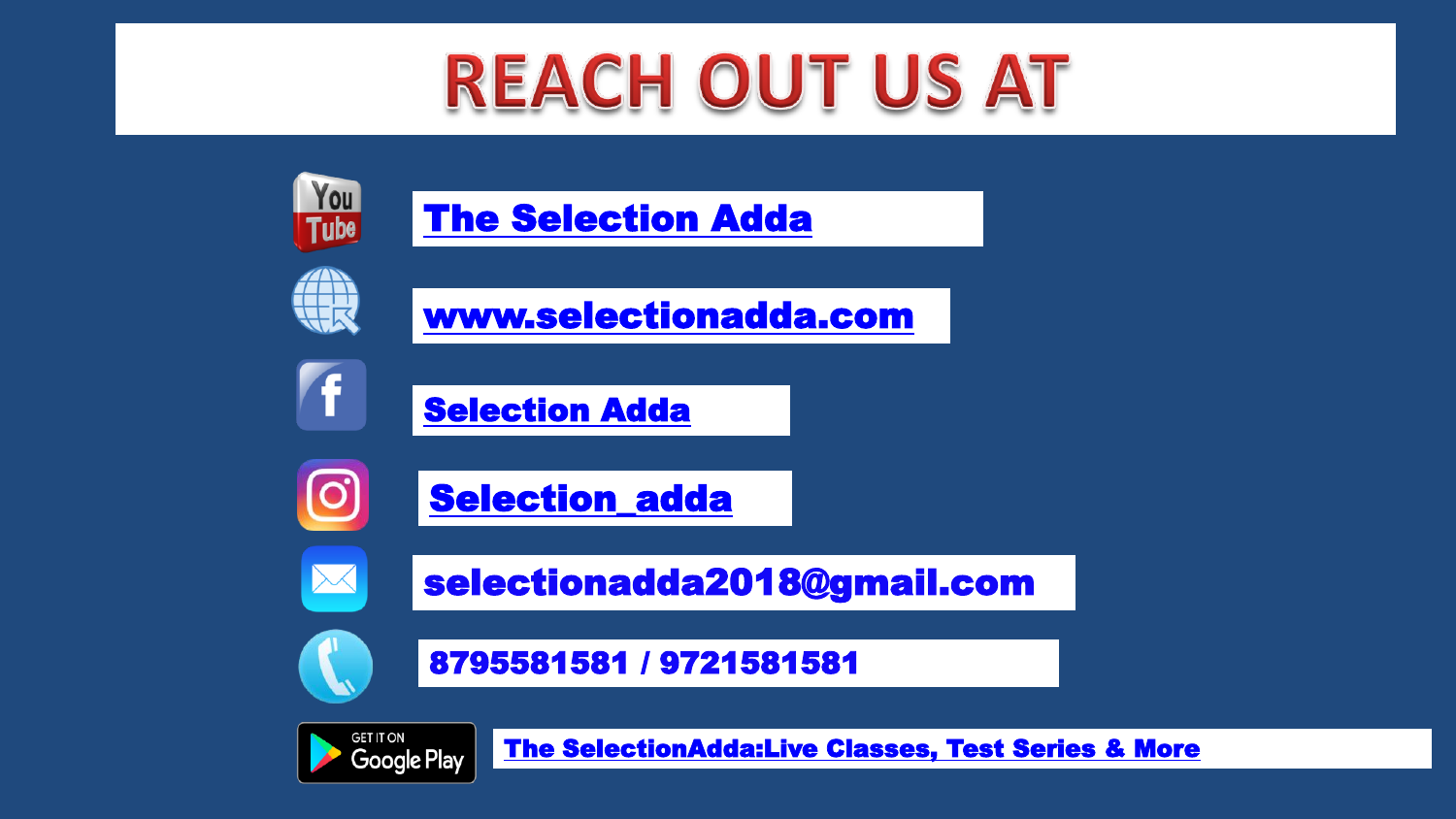## **REACH OUT US AT**